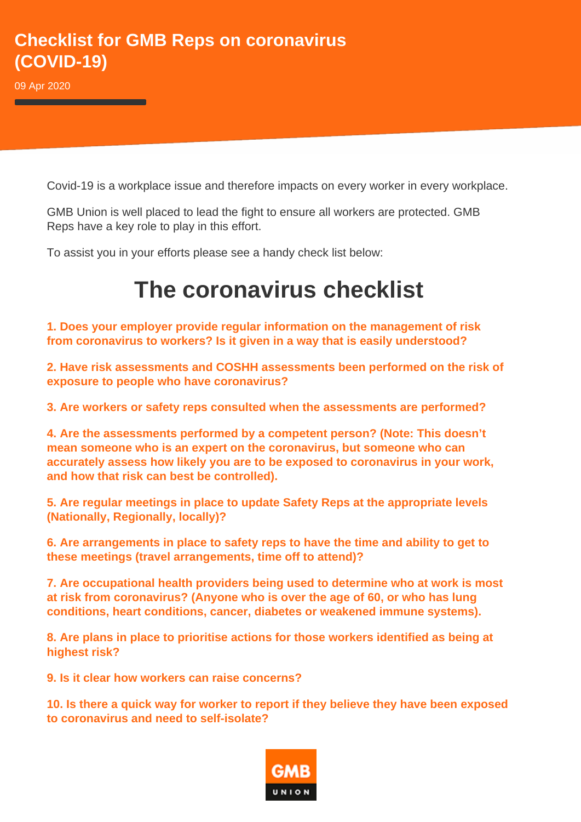## **Checklist for GMB Reps on coronavirus (COVID-19)**

09 Apr 2020

Covid-19 is a workplace issue and therefore impacts on every worker in every workplace.

GMB Union is well placed to lead the fight to ensure all workers are protected. GMB Reps have a key role to play in this effort.

To assist you in your efforts please see a handy check list below:

## **The coronavirus checklist**

**1. Does your employer provide regular information on the management of risk from coronavirus to workers? Is it given in a way that is easily understood?** 

**2. Have risk assessments and COSHH assessments been performed on the risk of exposure to people who have coronavirus?** 

**3. Are workers or safety reps consulted when the assessments are performed?** 

**4. Are the assessments performed by a competent person? (Note: This doesn't mean someone who is an expert on the coronavirus, but someone who can accurately assess how likely you are to be exposed to coronavirus in your work, and how that risk can best be controlled).** 

**5. Are regular meetings in place to update Safety Reps at the appropriate levels (Nationally, Regionally, locally)?** 

**6. Are arrangements in place to safety reps to have the time and ability to get to these meetings (travel arrangements, time off to attend)?** 

**7. Are occupational health providers being used to determine who at work is most at risk from coronavirus? (Anyone who is over the age of 60, or who has lung conditions, heart conditions, cancer, diabetes or weakened immune systems).** 

**8. Are plans in place to prioritise actions for those workers identified as being at highest risk?** 

**9. Is it clear how workers can raise concerns?** 

**10. Is there a quick way for worker to report if they believe they have been exposed to coronavirus and need to self-isolate?**